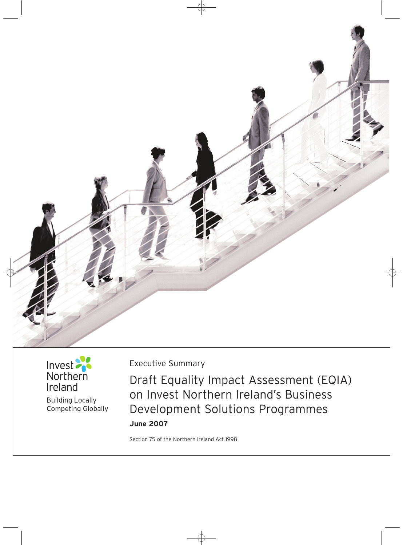



**Building Locally** Competing Globally Executive Summary

Draft Equality Impact Assessment (EQIA) on Invest Northern Ireland's Business Development Solutions Programmes **June 2007** 

Section 75 of the Northern Ireland Act 1998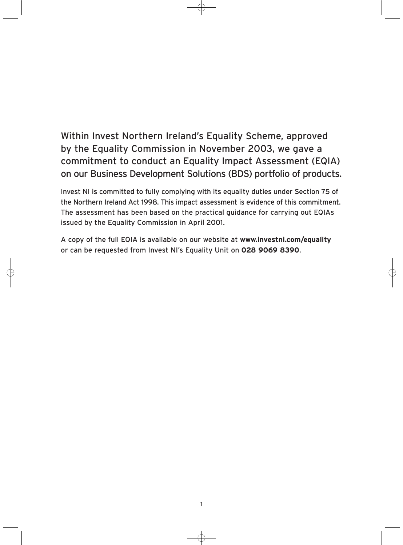Within Invest Northern Ireland's Equality Scheme, approved by the Equality Commission in November 2003, we gave a commitment to conduct an Equality Impact Assessment (EQIA) on our Business Development Solutions (BDS) portfolio of products.

Invest NI is committed to fully complying with its equality duties under Section 75 of the Northern Ireland Act 1998. This impact assessment is evidence of this commitment. The assessment has been based on the practical guidance for carrying out EQIAs issued by the Equality Commission in April 2001.

A copy of the full EQIA is available on our website at **www.investni.com/equality**  or can be requested from Invest NI's Equality Unit on **028 9069 8390**.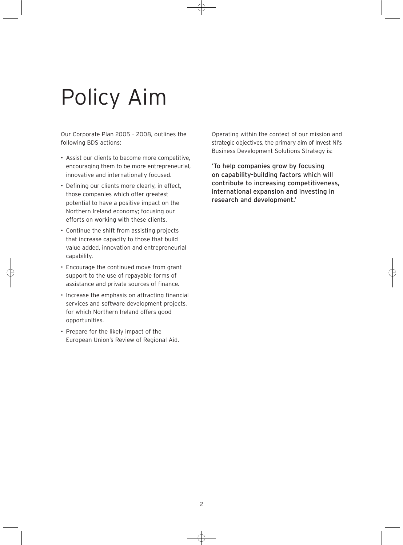# Policy Aim

Our Corporate Plan 2005 – 2008, outlines the following BDS actions:

- Assist our clients to become more competitive, encouraging them to be more entrepreneurial, innovative and internationally focused.
- Defining our clients more clearly, in effect, those companies which offer greatest potential to have a positive impact on the Northern Ireland economy; focusing our efforts on working with these clients.
- • Continue the shift from assisting projects that increase capacity to those that build value added, innovation and entrepreneurial capability.
- • Encourage the continued move from grant support to the use of repayable forms of assistance and private sources of finance.
- Increase the emphasis on attracting financial services and software development projects, for which Northern Ireland offers good opportunities.
- Prepare for the likely impact of the European Union's Review of Regional Aid.

Operating within the context of our mission and strategic objectives, the primary aim of Invest NI's Business Development Solutions Strategy is:

'To help companies grow by focusing on capability-building factors which will contribute to increasing competitiveness, international expansion and investing in research and development.'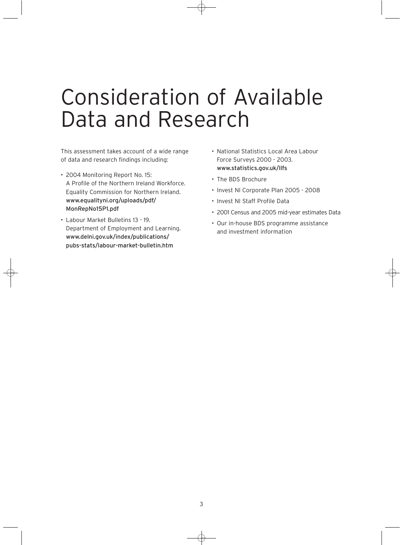### Consideration of Available Data and Research

This assessment takes account of a wide range of data and research findings including:

- • 2004 Monitoring Report No. 15: A Profile of the Northern Ireland Workforce. Equality Commission for Northern Ireland. www.equalityni.org/uploads/pdf/ MonRepNo15P1.pdf
- • Labour Market Bulletins 13 19. Department of Employment and Learning. www.delni.gov.uk/index/publications/ pubs-stats/labour-market-bulletin.htm
- • National Statistics Local Area Labour Force Surveys 2000 - 2003. www.statistics.gov.uk/llfs
- The BDS Brochure
- • Invest NI Corporate Plan 2005 2008
- • Invest NI Staff Profile Data
- • 2001 Census and 2005 mid-year estimates Data
- • Our in-house BDS programme assistance and investment information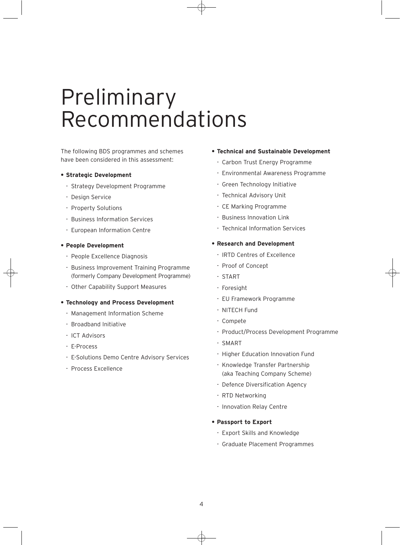### Preliminary Recommendations

The following BDS programmes and schemes have been considered in this assessment:

#### **• Strategic Development**

- Strategy Development Programme
- Design Service
- Property Solutions
- Business Information Services
- European Information Centre

#### **• People Development**

- People Excellence Diagnosis
- Business Improvement Training Programme (formerly Company Development Programme)
- Other Capability Support Measures

#### **• Technology and Process Development**

- Management Information Scheme
- Broadband Initiative
- ICT Advisors
- E-Process
- E-Solutions Demo Centre Advisory Services
- Process Excellence

#### **• Technical and Sustainable Development**

- Carbon Trust Energy Programme
- Environmental Awareness Programme
- Green Technology Initiative
- Technical Advisory Unit
- CE Marking Programme
- Business Innovation Link
- Technical Information Services

#### **• Research and Development**

- IRTD Centres of Excellence
- Proof of Concept
- START
- Foresight
- EU Framework Programme
- NITECH Fund
- Compete
- Product/Process Development Programme
- SMART
- Higher Education Innovation Fund
- Knowledge Transfer Partnership (aka Teaching Company Scheme)
- Defence Diversification Agency
- RTD Networking
- Innovation Relay Centre

#### **• Passport to Export**

- Export Skills and Knowledge
- Graduate Placement Programmes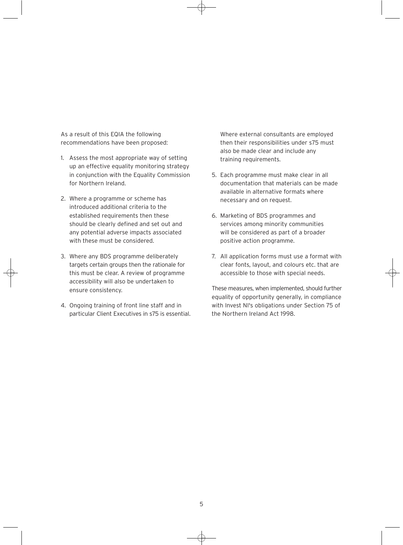As a result of this EQIA the following recommendations have been proposed:

- 1. Assess the most appropriate way of setting up an effective equality monitoring strategy in conjunction with the Equality Commission for Northern Ireland.
- 2. Where a programme or scheme has introduced additional criteria to the established requirements then these should be clearly defined and set out and any potential adverse impacts associated with these must be considered.
- 3. Where any BDS programme deliberately targets certain groups then the rationale for this must be clear. A review of programme accessibility will also be undertaken to ensure consistency.
- 4. Ongoing training of front line staff and in particular Client Executives in s75 is essential.

Where external consultants are employed then their responsibilities under s75 must also be made clear and include any training requirements.

- 5. Each programme must make clear in all documentation that materials can be made available in alternative formats where necessary and on request.
- 6. Marketing of BDS programmes and services among minority communities will be considered as part of a broader positive action programme.
- 7. All application forms must use a format with clear fonts, layout, and colours etc. that are accessible to those with special needs.

These measures, when implemented, should further equality of opportunity generally, in compliance with Invest NI's obligations under Section 75 of the Northern Ireland Act 1998.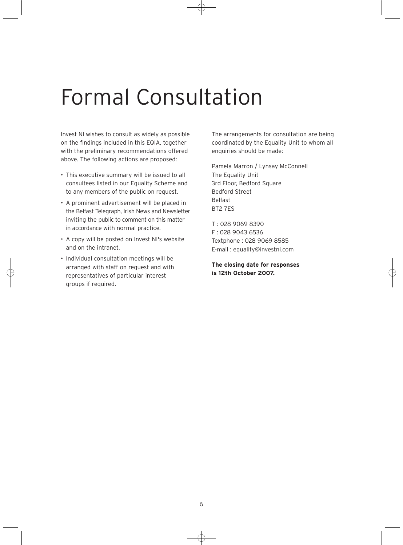## Formal Consultation

Invest NI wishes to consult as widely as possible on the findings included in this EQIA, together with the preliminary recommendations offered above. The following actions are proposed:

- This executive summary will be issued to all consultees listed in our Equality Scheme and to any members of the public on request.
- • A prominent advertisement will be placed in the Belfast Telegraph, Irish News and Newsletter inviting the public to comment on this matter in accordance with normal practice.
- • A copy will be posted on Invest NI's website and on the intranet.
- • Individual consultation meetings will be arranged with staff on request and with representatives of particular interest groups if required.

The arrangements for consultation are being coordinated by the Equality Unit to whom all enquiries should be made:

Pamela Marron / Lynsay McConnell The Equality Unit 3rd Floor, Bedford Square Bedford Street Belfast BT2 7ES

T : 028 9069 8390 F : 028 9043 6536 Textphone : 028 9069 8585 E-mail : equality@investni.com

**The closing date for responses is 12th October 2007.**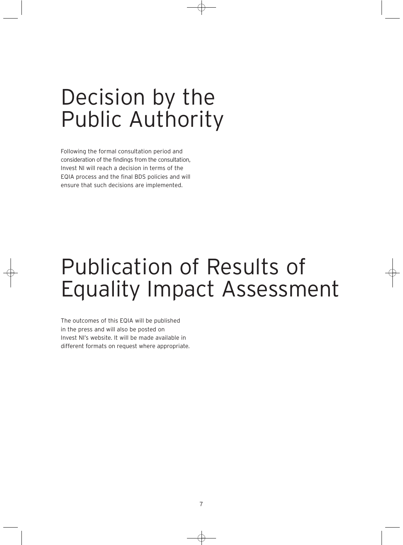## Decision by the Public Authority

Following the formal consultation period and consideration of the findings from the consultation, Invest NI will reach a decision in terms of the EQIA process and the final BDS policies and will ensure that such decisions are implemented.

## Publication of Results of Equality Impact Assessment

The outcomes of this EQIA will be published in the press and will also be posted on Invest NI's website. It will be made available in different formats on request where appropriate.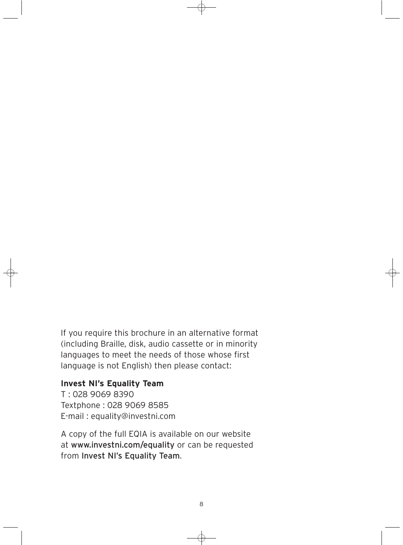If you require this brochure in an alternative format (including Braille, disk, audio cassette or in minority languages to meet the needs of those whose first language is not English) then please contact:

### **Invest NI's Equality Team**

T : 028 9069 8390 Textphone : 028 9069 8585 E-mail : equality@investni.com

A copy of the full EQIA is available on our website at www.investni.com/equality or can be requested from Invest NI's Equality Team.